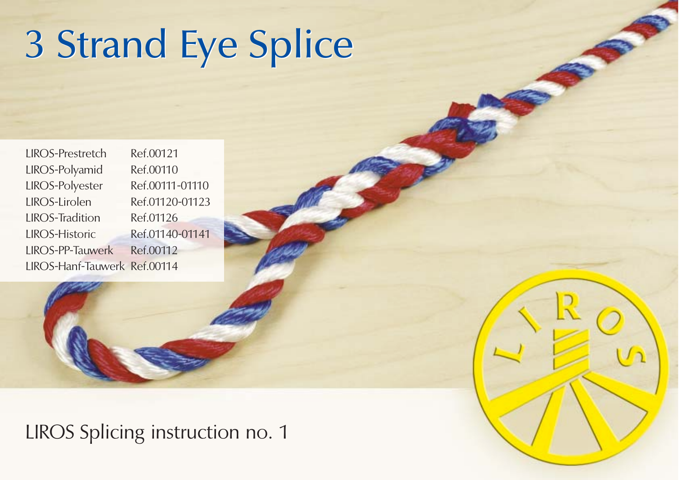## 3 Strand Eye Splice 3 Strand Eye Splice

LIROS-Prestretch Ref.00121 LIROS-Polyamid Ref.00110 LIROS-Polyester Ref.00111-01110 LIROS-Lirolen Ref.01120-01123 LIROS-Tradition Ref.01126 LIROS-Historic Ref.01140-01141 LIROS-PP-Tauwerk Ref.00112 LIROS-Hanf-Tauwerk Ref.00114

LIROS Splicing instruction no. 1

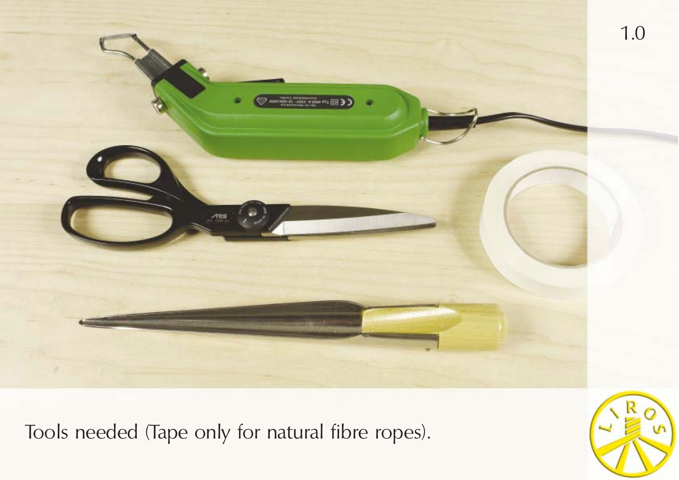

Tools needed (Tape only for natural fibre ropes).

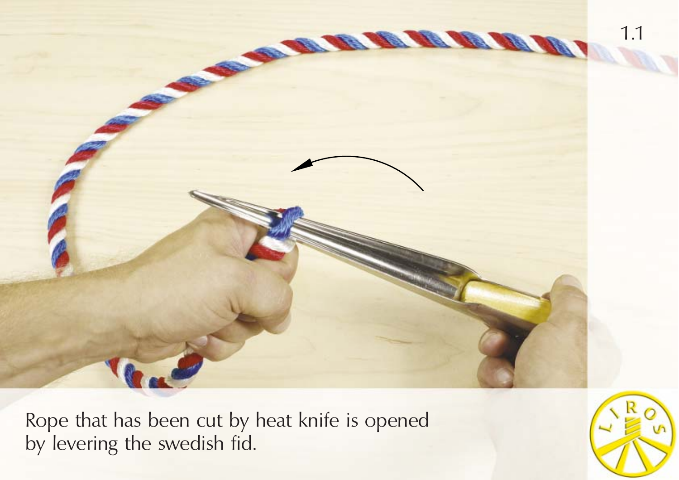

Rope that has been cut by heat knife is opened by levering the swedish fid.

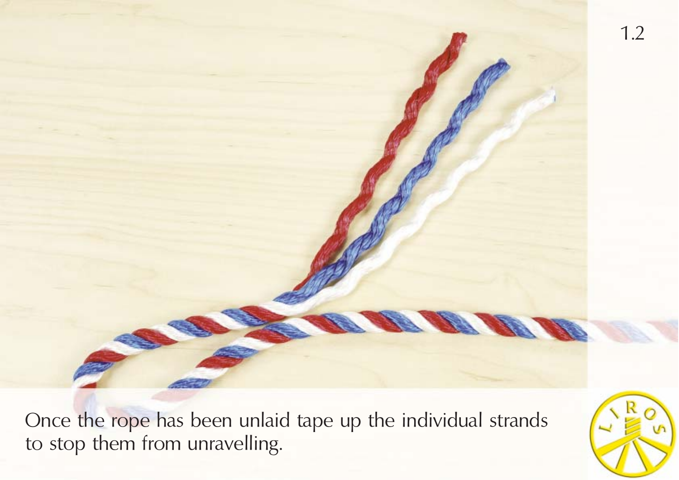Once the rope has been unlaid tape up the individual strands to stop them from unravelling.

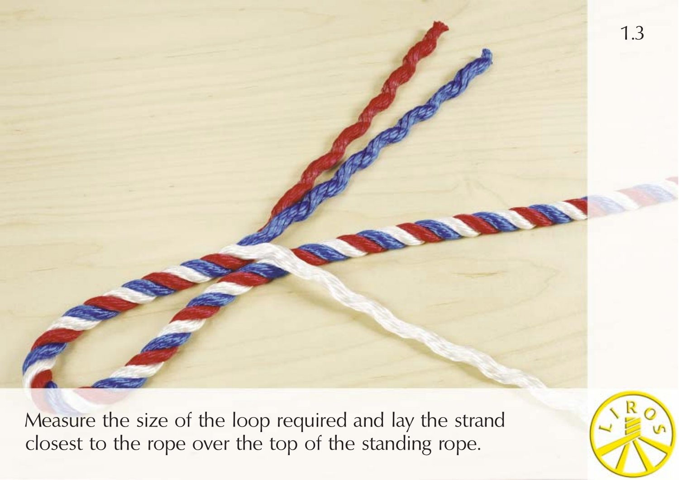

Measure the size of the loop required and lay the strand closest to the rope over the top of the standing rope.

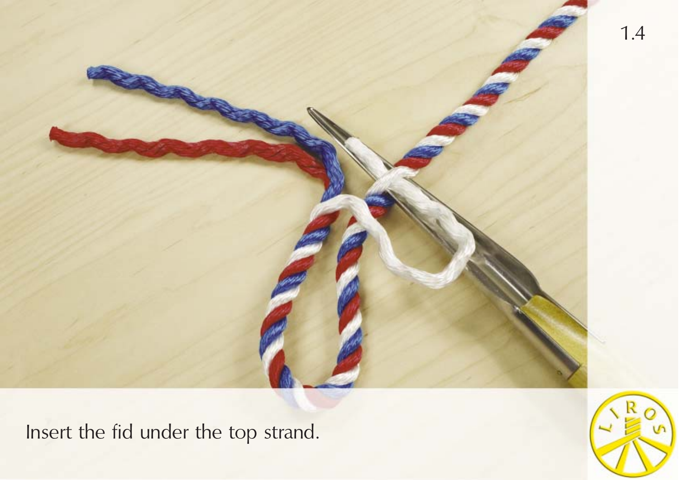

Insert the fid under the top strand.

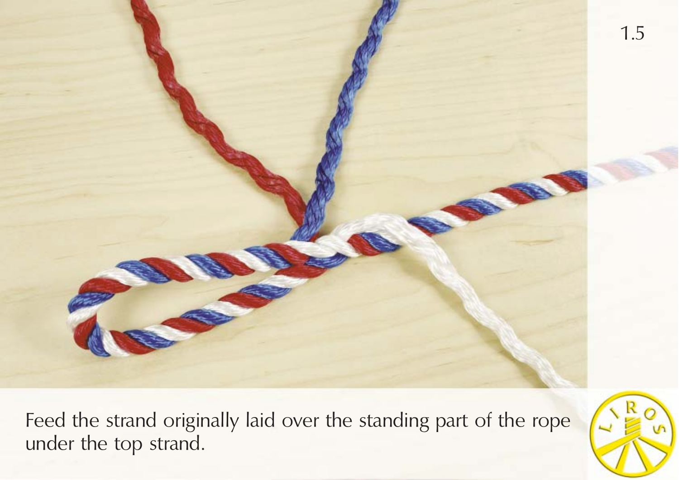

Feed the strand originally laid over the standing part of the rope under the top strand.

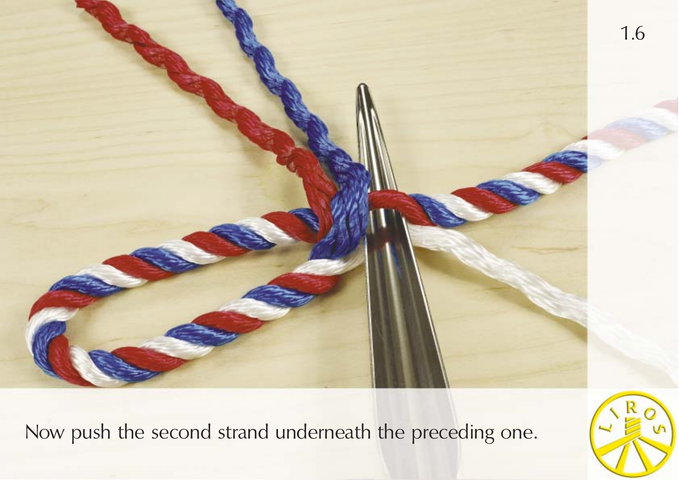

Now push the second strand underneath the preceding one.

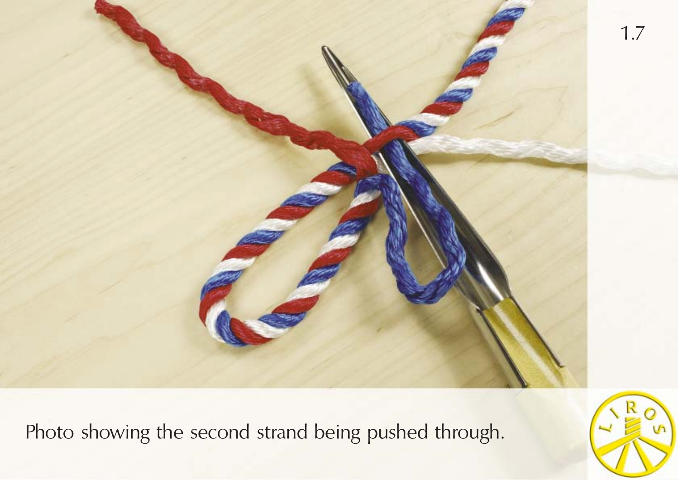

Photo showing the second strand being pushed through.

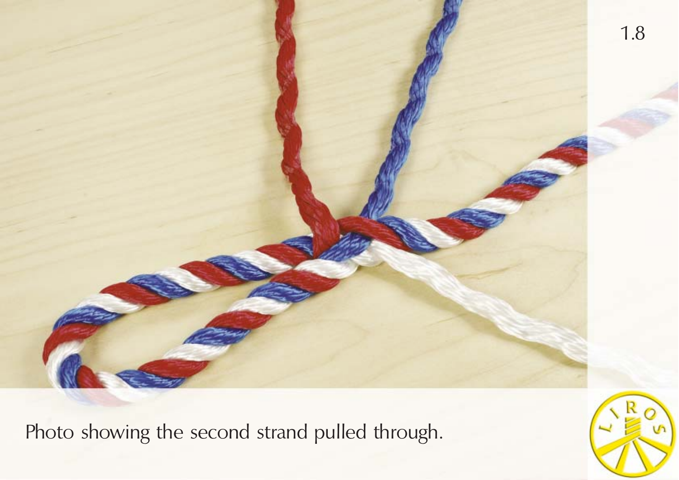

Photo showing the second strand pulled through.

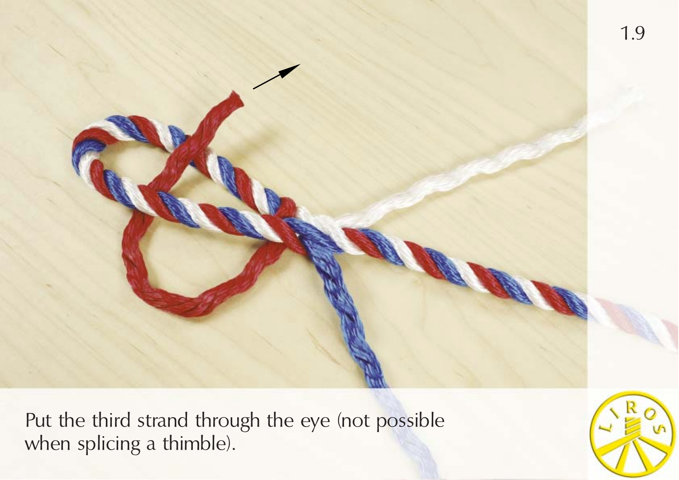

Put the third strand through the eye (not possible when splicing a thimble).

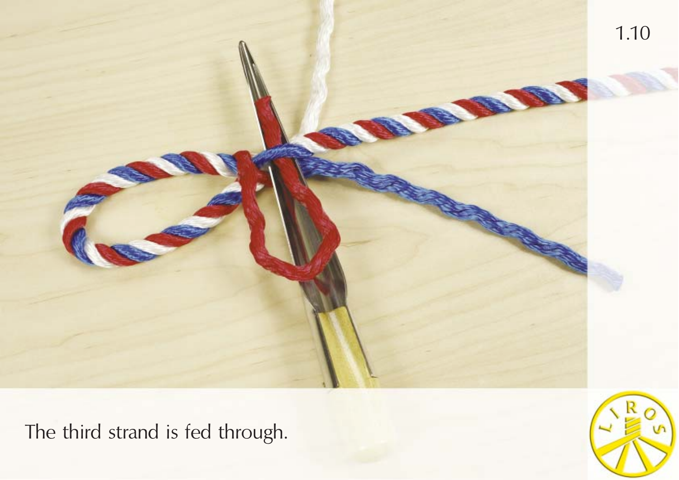

The third strand is fed through.

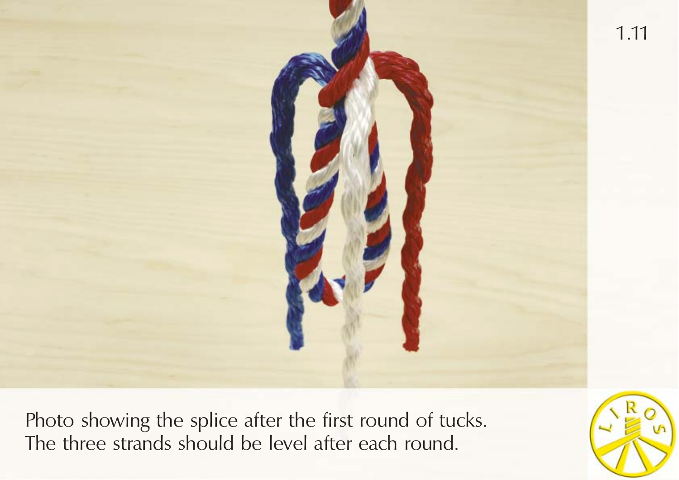

Photo showing the splice after the first round of tucks. The three strands should be level after each round.

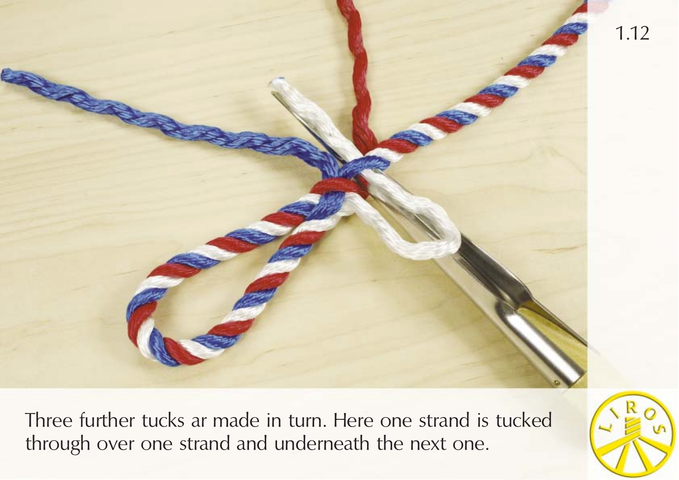

Three further tucks ar made in turn. Here one strand is tucked through over one strand and underneath the next one.

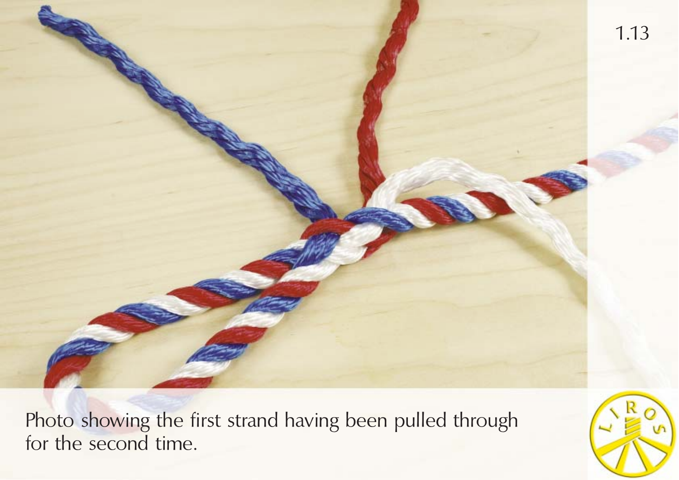

Photo showing the first strand having been pulled through for the second time.

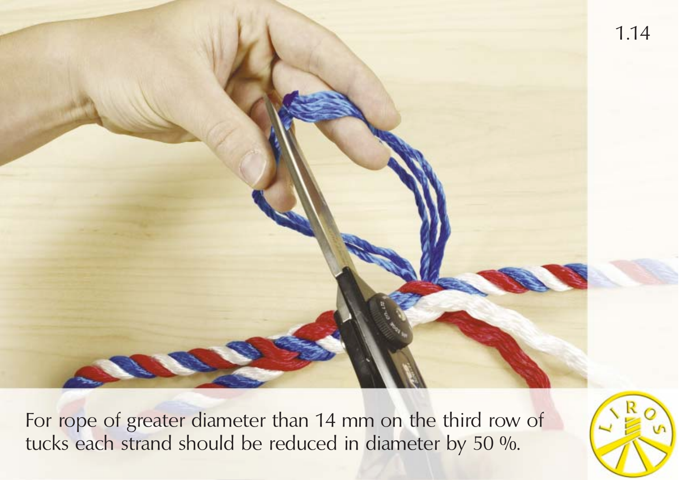1.14

For rope of greater diameter than 14 mm on the third row of tucks each strand should be reduced in diameter by 50 %.

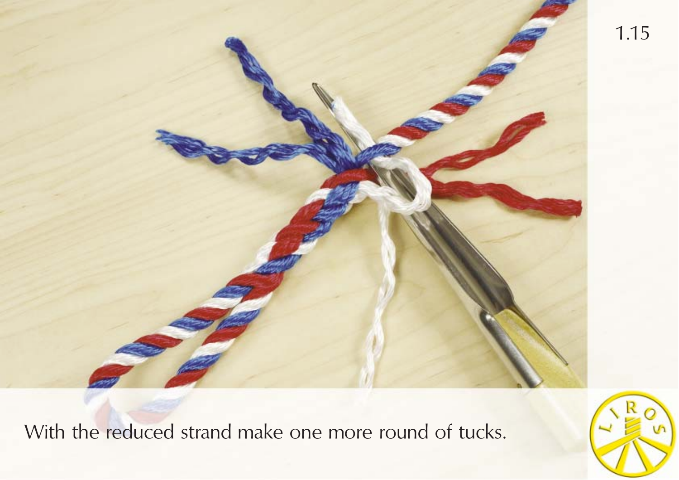

With the reduced strand make one more round of tucks.

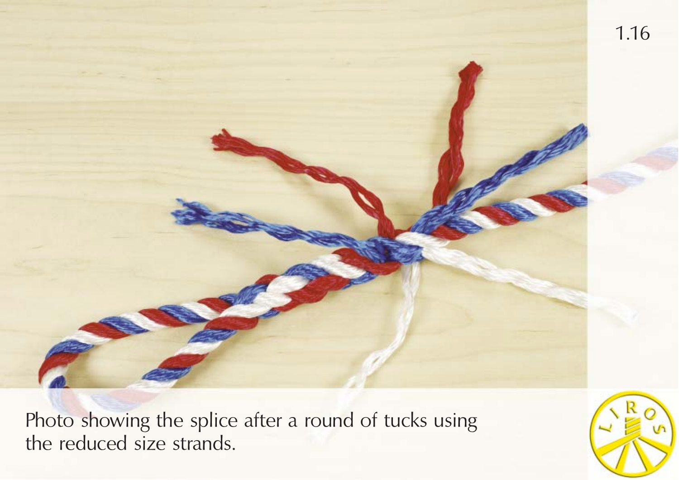

Photo showing the splice after a round of tucks using the reduced size strands.

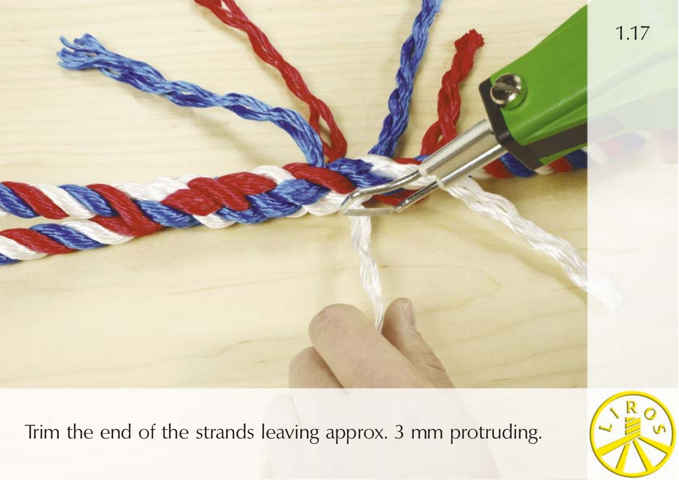

Trim the end of the strands leaving approx. 3 mm protruding.